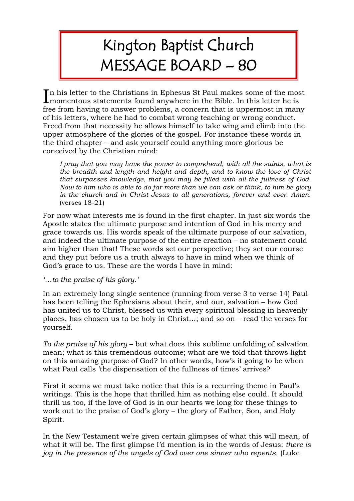## Kington Baptist Church MESSAGE BOARD – 80

In his letter to the Christians in Ephesus St Paul makes some of the most momentous statements found anywhere in the Bible. In this letter he is **L** momentous statements found anywhere in the Bible. In this letter he is free from having to answer problems, a concern that is uppermost in many of his letters, where he had to combat wrong teaching or wrong conduct. Freed from that necessity he allows himself to take wing and climb into the upper atmosphere of the glories of the gospel. For instance these words in the third chapter – and ask yourself could anything more glorious be conceived by the Christian mind:

*I pray that you may have the power to comprehend, with all the saints, what is the breadth and length and height and depth, and to know the love of Christ that surpasses knowledge, that you may be filled with all the fullness of God. Now to him who is able to do far more than we can ask or think, to him be glory in the church and in Christ Jesus to all generations, forever and ever. Amen.* (verses 18-21)

For now what interests me is found in the first chapter. In just six words the Apostle states the ultimate purpose and intention of God in his mercy and grace towards us. His words speak of the ultimate purpose of our salvation, and indeed the ultimate purpose of the entire creation – no statement could aim higher than that! These words set our perspective; they set our course and they put before us a truth always to have in mind when we think of God's grace to us. These are the words I have in mind:

## *'…to the praise of his glory.'*

In an extremely long single sentence (running from verse 3 to verse 14) Paul has been telling the Ephesians about their, and our, salvation – how God has united us to Christ, blessed us with every spiritual blessing in heavenly places, has chosen us to be holy in Christ…; and so on – read the verses for yourself.

*To the praise of his glory* – but what does this sublime unfolding of salvation mean; what is this tremendous outcome; what are we told that throws light on this amazing purpose of God? In other words, how's it going to be when what Paul calls 'the dispensation of the fullness of times' arrives?

First it seems we must take notice that this is a recurring theme in Paul's writings. This is the hope that thrilled him as nothing else could. It should thrill us too, if the love of God is in our hearts we long for these things to work out to the praise of God's glory – the glory of Father, Son, and Holy Spirit.

In the New Testament we're given certain glimpses of what this will mean, of what it will be. The first glimpse I'd mention is in the words of Jesus: *there is joy in the presence of the angels of God over one sinner who repents.* (Luke